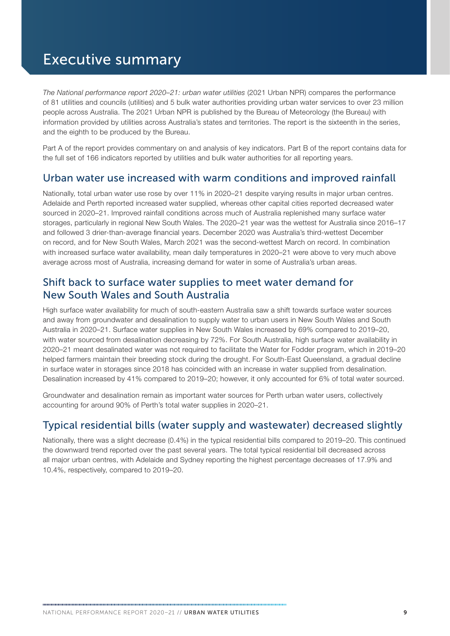# Executive summary

*The National performance report 2020–21: urban water utilities* (2021 Urban NPR) compares the performance of 81 utilities and councils (utilities) and 5 bulk water authorities providing urban water services to over 23 million people across Australia. The 2021 Urban NPR is published by the Bureau of Meteorology (the Bureau) with information provided by utilities across Australia's states and territories. The report is the sixteenth in the series, and the eighth to be produced by the Bureau.

Part A of the report provides commentary on and analysis of key indicators. Part B of the report contains data for the full set of 166 indicators reported by utilities and bulk water authorities for all reporting years.

#### Urban water use increased with warm conditions and improved rainfall

Nationally, total urban water use rose by over 11% in 2020–21 despite varying results in major urban centres. Adelaide and Perth reported increased water supplied, whereas other capital cities reported decreased water sourced in 2020–21. Improved rainfall conditions across much of Australia replenished many surface water storages, particularly in regional New South Wales. The 2020–21 year was the wettest for Australia since 2016–17 and followed 3 drier-than-average financial years. December 2020 was Australia's third-wettest December on record, and for New South Wales, March 2021 was the second-wettest March on record. In combination with increased surface water availability, mean daily temperatures in 2020–21 were above to very much above average across most of Australia, increasing demand for water in some of Australia's urban areas.

#### Shift back to surface water supplies to meet water demand for New South Wales and South Australia

High surface water availability for much of south-eastern Australia saw a shift towards surface water sources and away from groundwater and desalination to supply water to urban users in New South Wales and South Australia in 2020–21. Surface water supplies in New South Wales increased by 69% compared to 2019–20, with water sourced from desalination decreasing by 72%. For South Australia, high surface water availability in 2020–21 meant desalinated water was not required to facilitate the Water for Fodder program, which in 2019–20 helped farmers maintain their breeding stock during the drought. For South-East Queensland, a gradual decline in surface water in storages since 2018 has coincided with an increase in water supplied from desalination. Desalination increased by 41% compared to 2019–20; however, it only accounted for 6% of total water sourced.

Groundwater and desalination remain as important water sources for Perth urban water users, collectively accounting for around 90% of Perth's total water supplies in 2020–21.

### Typical residential bills (water supply and wastewater) decreased slightly

Nationally, there was a slight decrease (0.4%) in the typical residential bills compared to 2019–20. This continued the downward trend reported over the past several years. The total typical residential bill decreased across all major urban centres, with Adelaide and Sydney reporting the highest percentage decreases of 17.9% and 10.4%, respectively, compared to 2019–20.